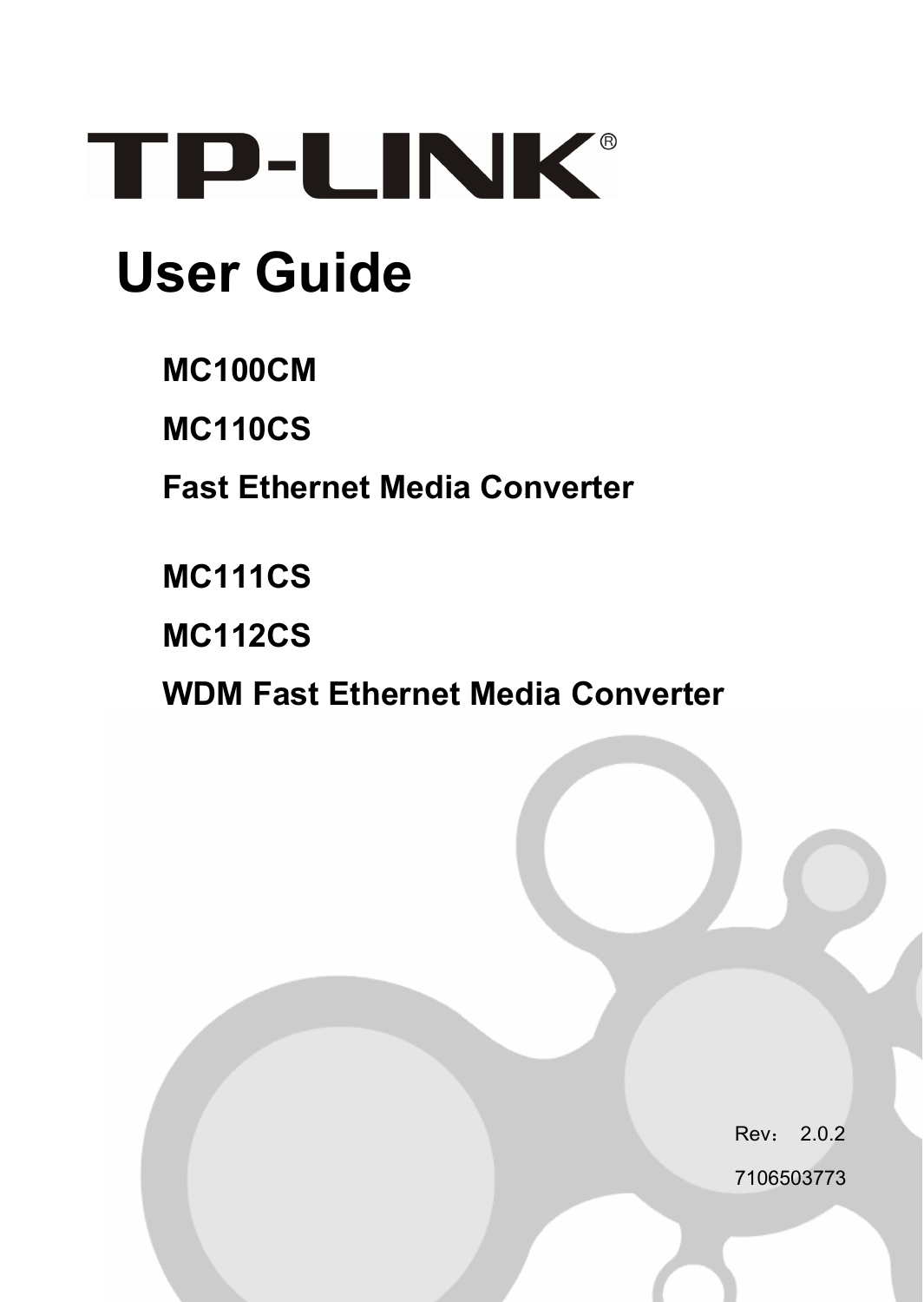

# **User Guide**

**MC100CM** 

**MC110CS** 

**Fast Ethernet Media Converter** 

**MC111CS** 

**MC112CS** 

**WDM Fast Ethernet Media Converter** 

Rev: 202

7106503773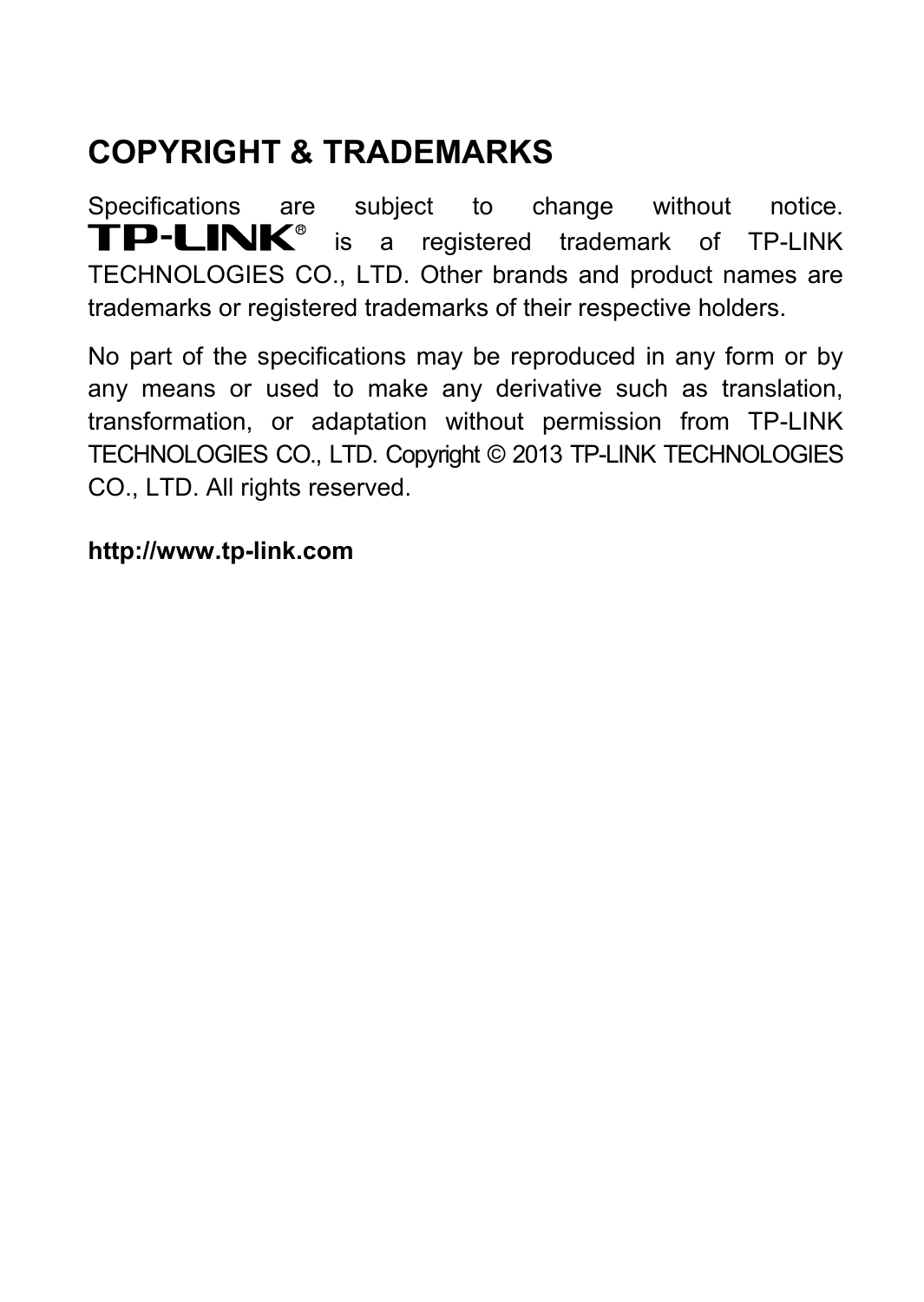## **COPYRIGHT & TRADEMARKS**

Specifications are subject to change without notice.<br> **TP-LINK**<sup>®</sup> is a registered trademark of TP-LINK is a registered trademark of TP-LINK TECHNOLOGIES CO., LTD. Other brands and product names are trademarks or registered trademarks of their respective holders.

No part of the specifications may be reproduced in any form or by any means or used to make any derivative such as translation, transformation, or adaptation without permission from TP-LINK TECHNOLOGIES CO., LTD. Copyright © 2013 TP-LINK TECHNOLOGIES CO., LTD. All rights reserved.

#### **[http://www.tp-link.com](http://www.tp-link.com/)**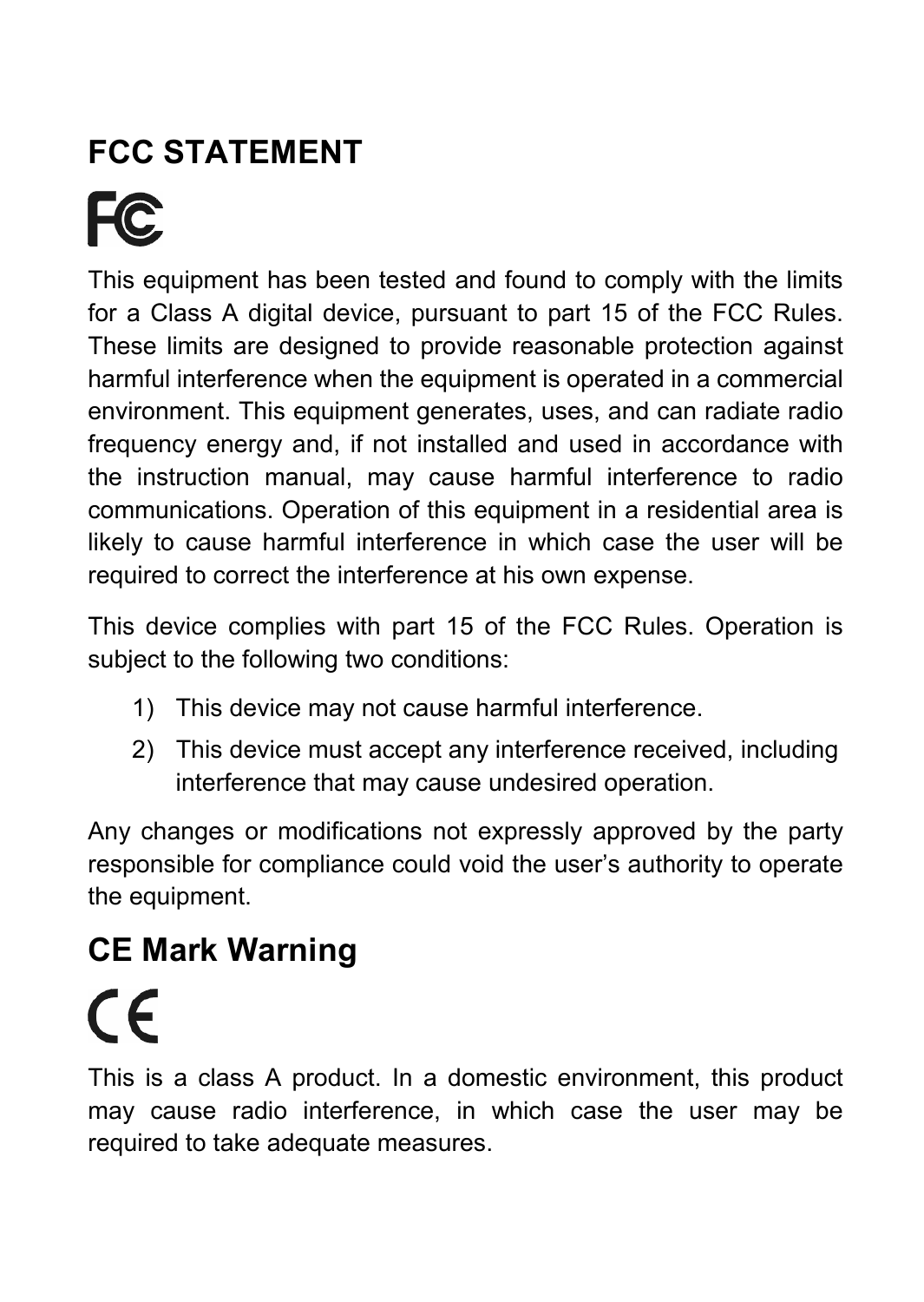# **FCC STATEMENT**

**FC** 

This equipment has been tested and found to comply with the limits for a Class A digital device, pursuant to part 15 of the FCC Rules. These limits are designed to provide reasonable protection against harmful interference when the equipment is operated in a commercial environment. This equipment generates, uses, and can radiate radio frequency energy and, if not installed and used in accordance with the instruction manual, may cause harmful interference to radio communications. Operation of this equipment in a residential area is likely to cause harmful interference in which case the user will be required to correct the interference at his own expense.

This device complies with part 15 of the FCC Rules. Operation is subject to the following two conditions:

- 1) This device may not cause harmful interference.
- 2) This device must accept any interference received, including interference that may cause undesired operation.

Any changes or modifications not expressly approved by the party responsible for compliance could void the user's authority to operate the equipment.

# **CE Mark Warning**

 $\epsilon$ 

This is a class A product. In a domestic environment, this product may cause radio interference, in which case the user may be required to take adequate measures.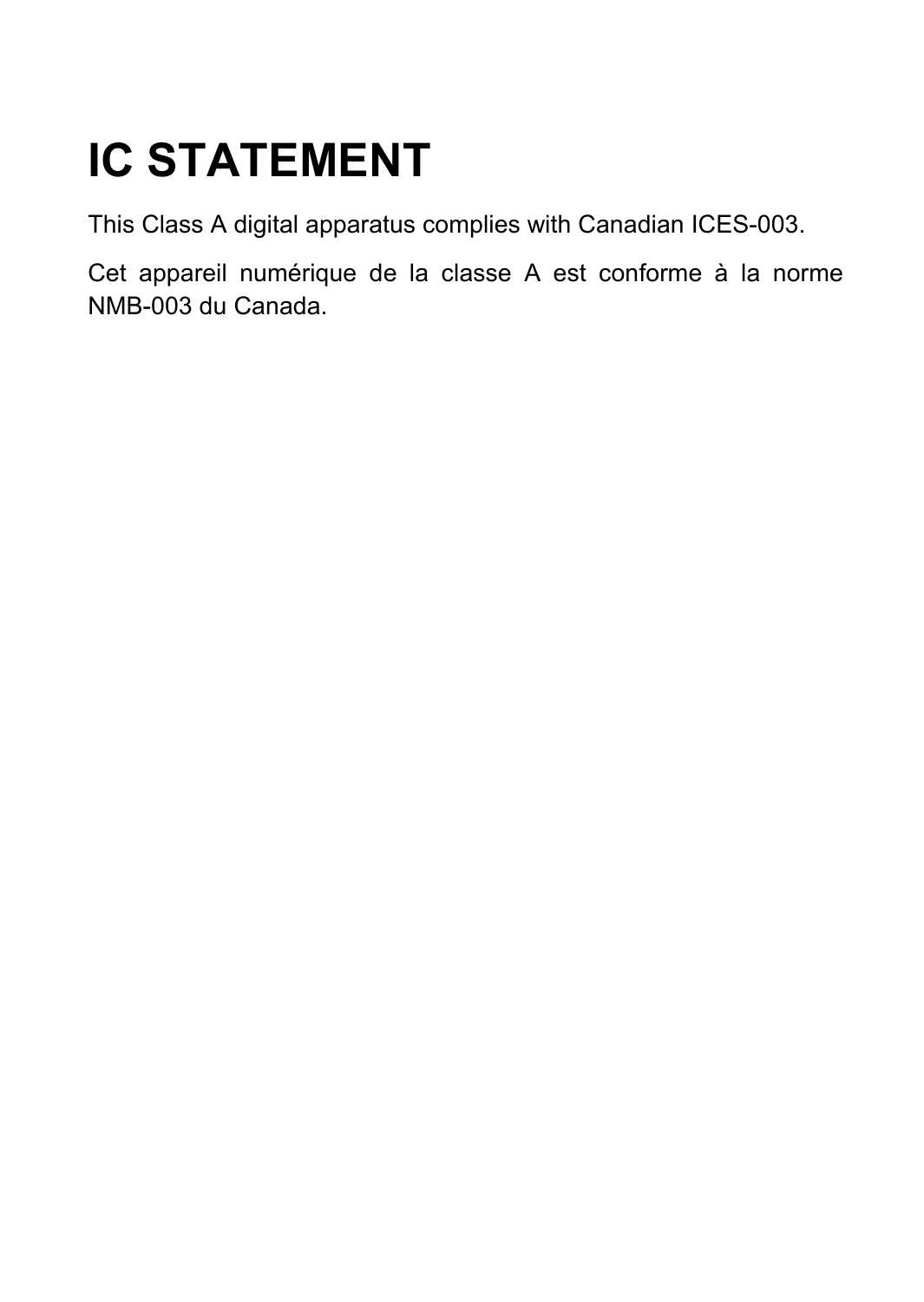# **IC STATEMENT**

This Class A digital apparatus complies with Canadian ICES-003.

Cet appareil numérique de la classe [A](http://strategis.ic.gc.ca/epic/site/smt-gst.nsf/en/sf00020e.html#fn1) est conforme à la norme NMB-003 du Canada.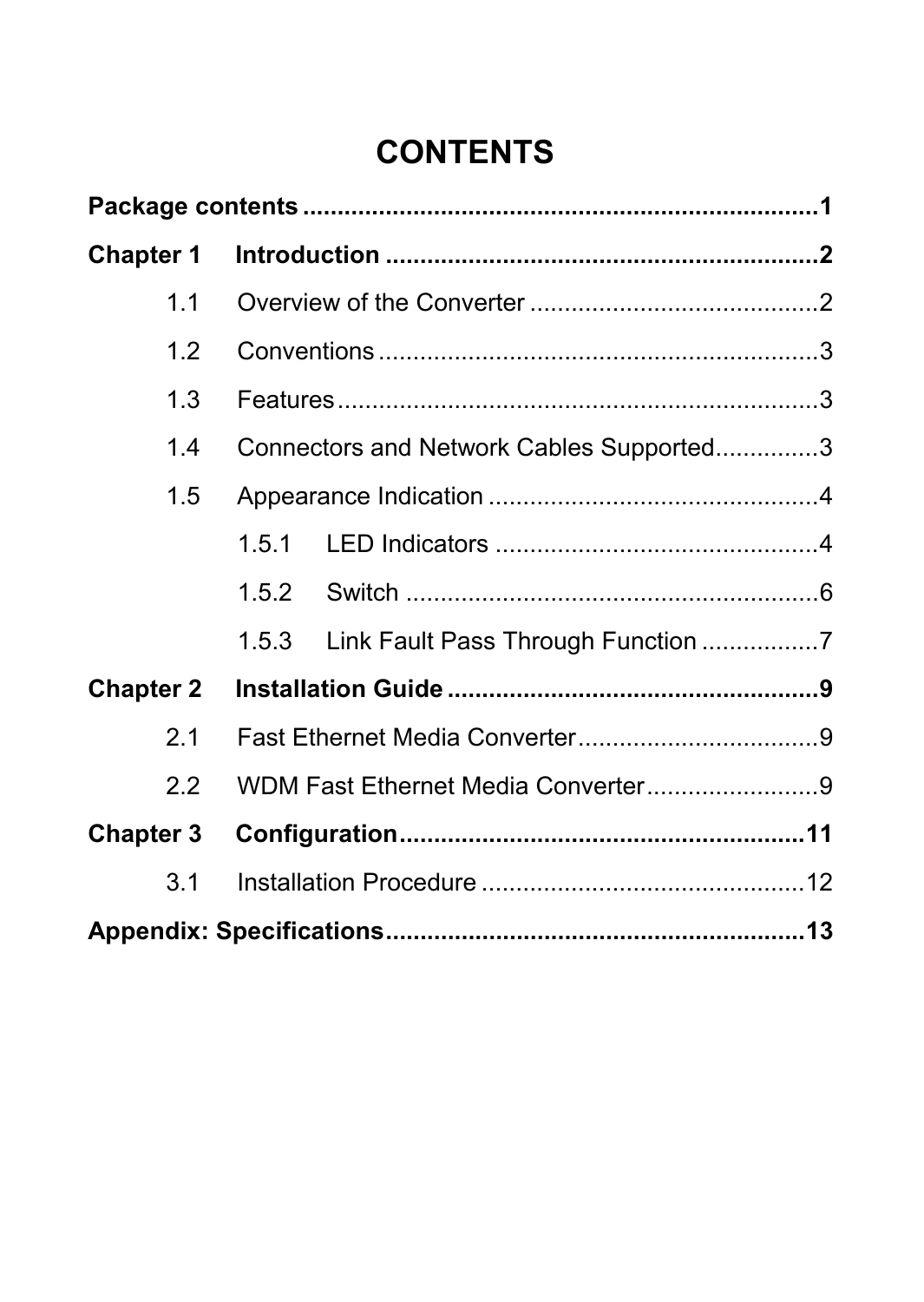## **CONTENTS**

| <b>Chapter 1</b> |                                             |  |  |
|------------------|---------------------------------------------|--|--|
| 11               |                                             |  |  |
| 1.2              |                                             |  |  |
| 1.3              |                                             |  |  |
| 1.4              | Connectors and Network Cables Supported3    |  |  |
| 1.5              |                                             |  |  |
|                  | 151                                         |  |  |
|                  | 1.5.2                                       |  |  |
|                  | Link Fault Pass Through Function 7<br>1.5.3 |  |  |
| <b>Chapter 2</b> |                                             |  |  |
| 2.1              |                                             |  |  |
| 22               | WDM Fast Ethernet Media Converter9          |  |  |
| Chapter 3        |                                             |  |  |
| 3.1              |                                             |  |  |
|                  |                                             |  |  |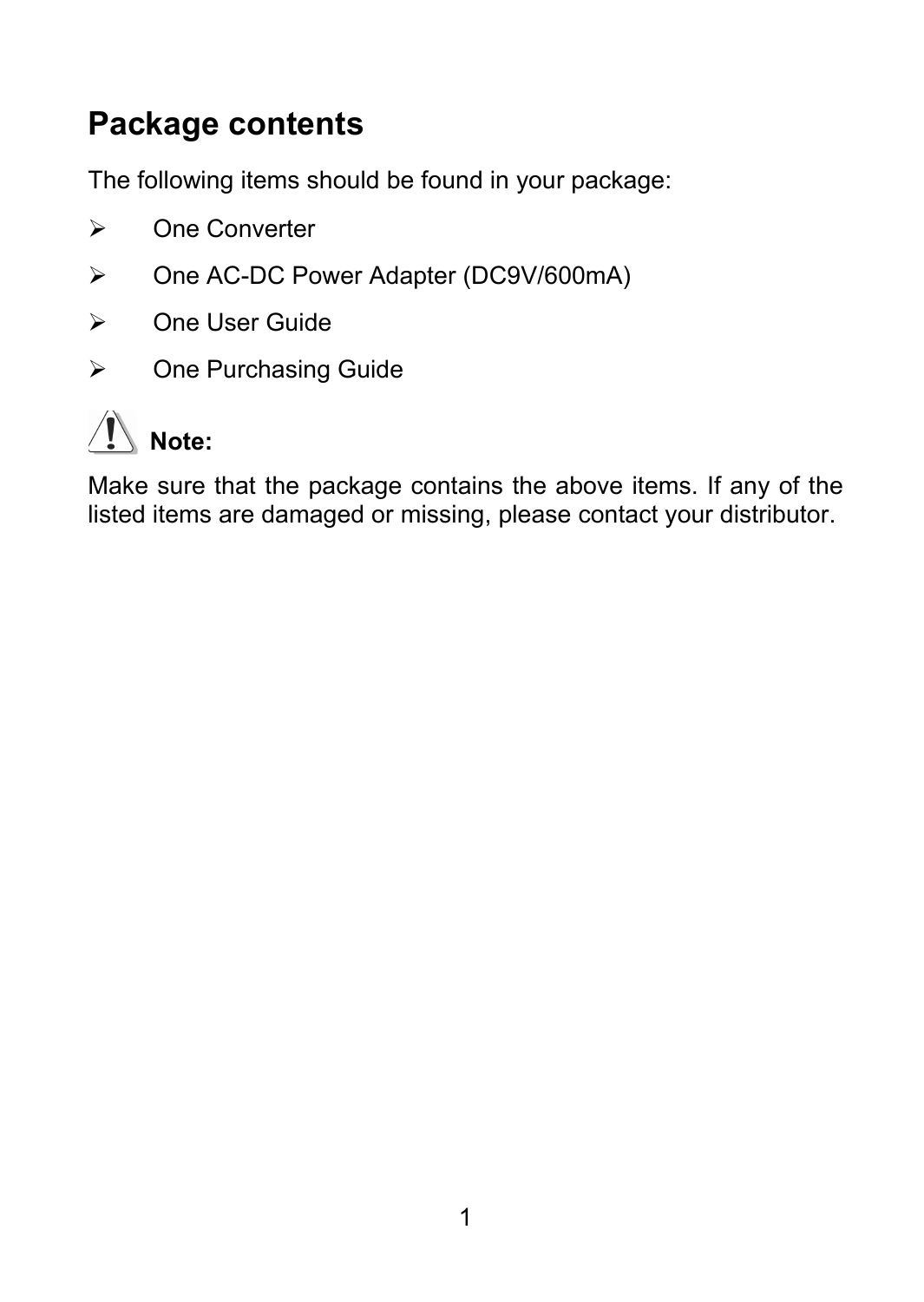### <span id="page-5-0"></span>**Package contents**

The following items should be found in your package:

- ¾ One Converter
- ¾ One AC-DC Power Adapter (DC9V/600mA)
- ¾ One User Guide
- ¾ One Purchasing Guide



Make sure that the package contains the above items. If any of the listed items are damaged or missing, please contact your distributor.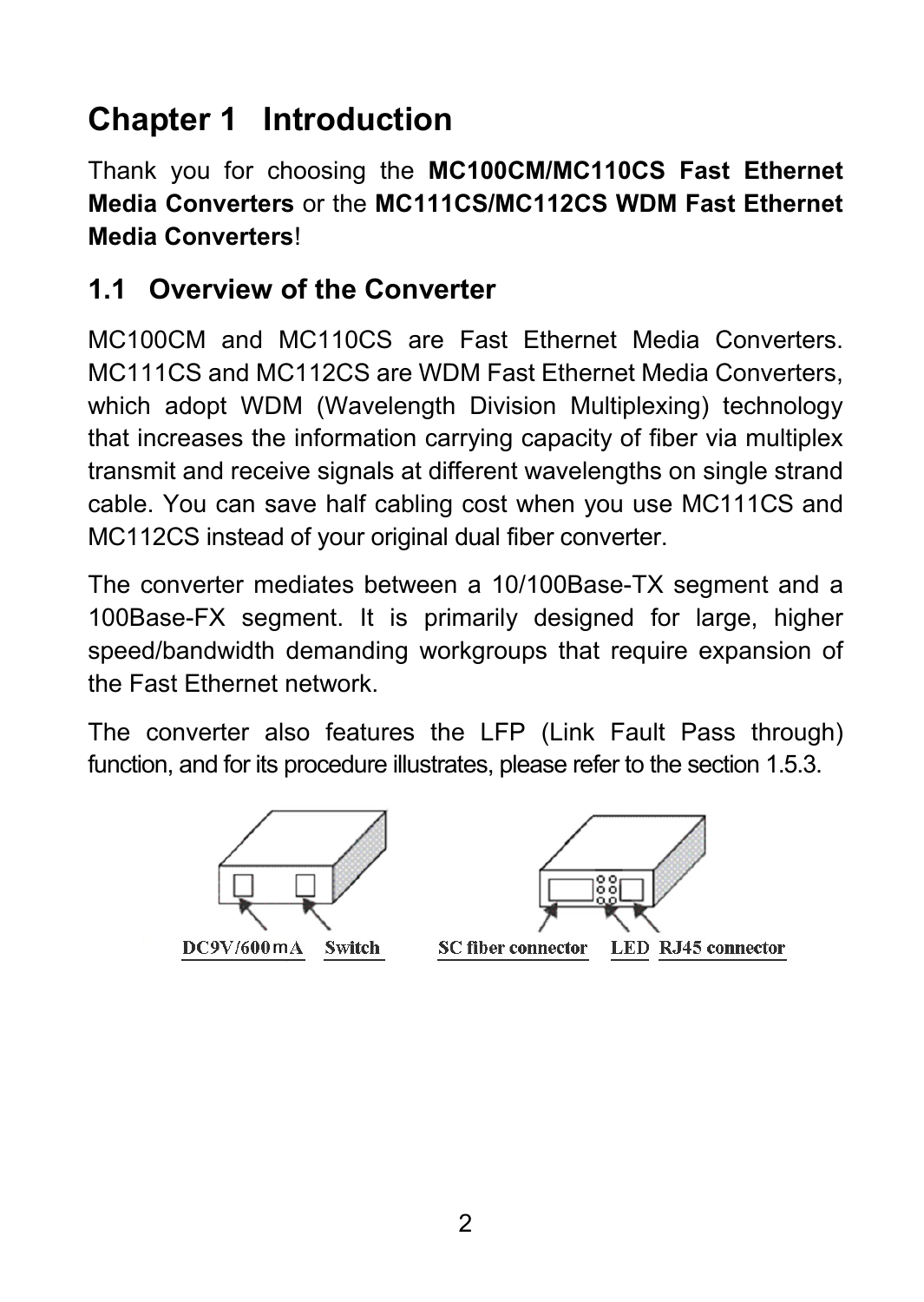# <span id="page-6-0"></span>**Chapter 1 Introduction**

Thank you for choosing the **MC100CM/MC110CS Fast Ethernet Media Converters** or the **MC111CS/MC112CS WDM Fast Ethernet Media Converters**!

#### **1.1 Overview of the Converter**

MC100CM and MC110CS are Fast Ethernet Media Converters. MC111CS and MC112CS are WDM Fast Ethernet Media Converters, which adopt WDM (Wavelength Division Multiplexing) technology that increases the information carrying capacity of fiber via multiplex transmit and receive signals at different wavelengths on single strand cable. You can save half cabling cost when you use MC111CS and MC112CS instead of your original dual fiber converter.

The converter mediates between a 10/100Base-TX segment and a 100Base-FX segment. It is primarily designed for large, higher speed/bandwidth demanding workgroups that require expansion of the Fast Ethernet network.

The converter also features the LFP (Link Fault Pass through) function, and for its procedure illustrates, please refer to the section 1.5.3.



DC9V/600mA Switch

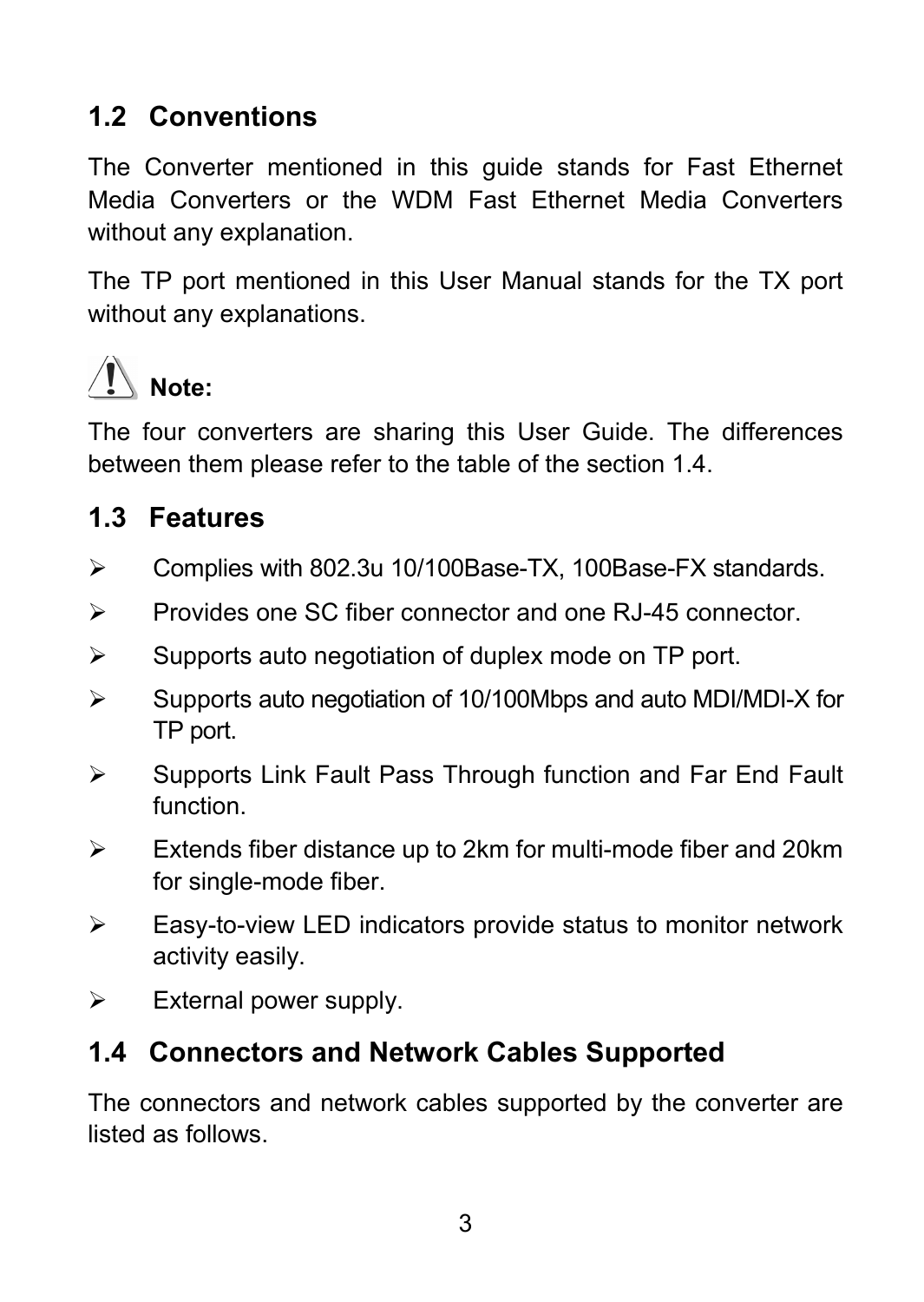#### <span id="page-7-0"></span>**1.2 Conventions**

The Converter mentioned in this guide stands for Fast Ethernet Media Converters or the WDM Fast Ethernet Media Converters without any explanation.

The TP port mentioned in this User Manual stands for the TX port without any explanations.



The four converters are sharing this User Guide. The differences between them please refer to the table of the section 1.4.

#### **1.3 Features**

- ¾ Complies with 802.3u 10/100Base-TX, 100Base-FX standards.
- ¾ Provides one SC fiber connector and one RJ-45 connector.
- $\triangleright$  Supports auto negotiation of duplex mode on TP port.
- ¾ Supports auto negotiation of 10/100Mbps and auto MDI/MDI-X for TP port.
- ¾ Supports Link Fault Pass Through function and Far End Fault function.
- $\triangleright$  Extends fiber distance up to 2km for multi-mode fiber and 20km for single-mode fiber.
- $\triangleright$  Easy-to-view LED indicators provide status to monitor network activity easily.
- $\triangleright$  External power supply.

#### **1.4 Connectors and Network Cables Supported**

The connectors and network cables supported by the converter are listed as follows.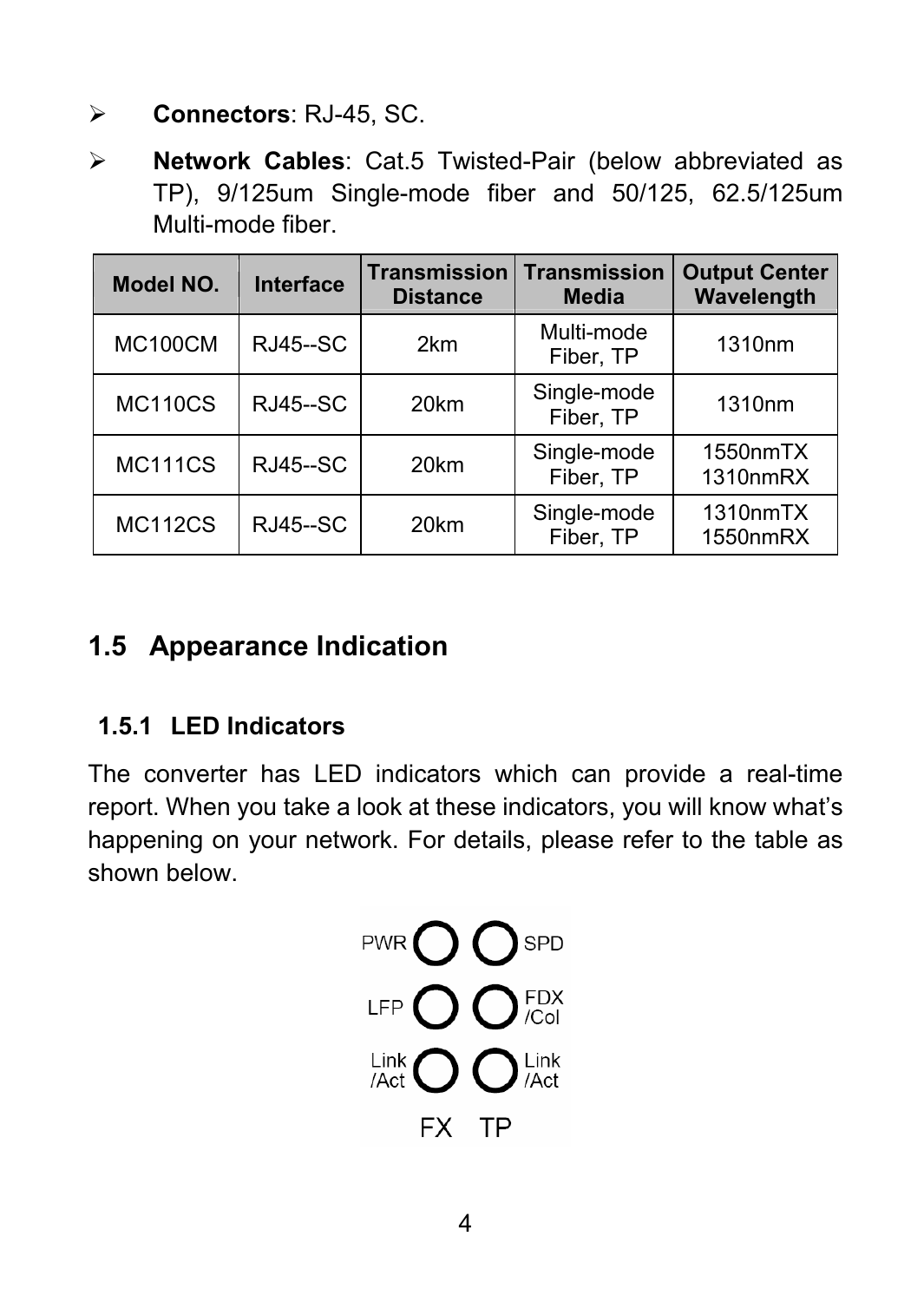- <span id="page-8-0"></span>¾ **Connectors**: RJ-45, SC.
- ¾ **Network Cables**: Cat.5 Twisted-Pair (below abbreviated as TP), 9/125um Single-mode fiber and 50/125, 62.5/125um Multi-mode fiber.

| Model NO.      | Interface       | <b>Transmission</b><br><b>Distance</b> | <b>Transmission</b><br><b>Media</b> | <b>Output Center</b><br>Wavelength |
|----------------|-----------------|----------------------------------------|-------------------------------------|------------------------------------|
| <b>MC100CM</b> | <b>RJ45--SC</b> | 2km                                    | Multi-mode<br>Fiber, TP             | 1310nm                             |
| <b>MC110CS</b> | <b>RJ45--SC</b> | 20km                                   | Single-mode<br>Fiber, TP            | 1310nm                             |
| <b>MC111CS</b> | <b>RJ45--SC</b> | 20km                                   | Single-mode<br>Fiber, TP            | 1550nmTX<br>1310nmRX               |
| <b>MC112CS</b> | <b>RJ45--SC</b> | 20km                                   | Single-mode<br>Fiber, TP            | 1310nmTX<br>1550nmRX               |

#### **1.5 Appearance Indication**

#### **1.5.1 LED Indicators**

The converter has LED indicators which can provide a real-time report. When you take a look at these indicators, you will know what's happening on your network. For details, please refer to the table as shown below.

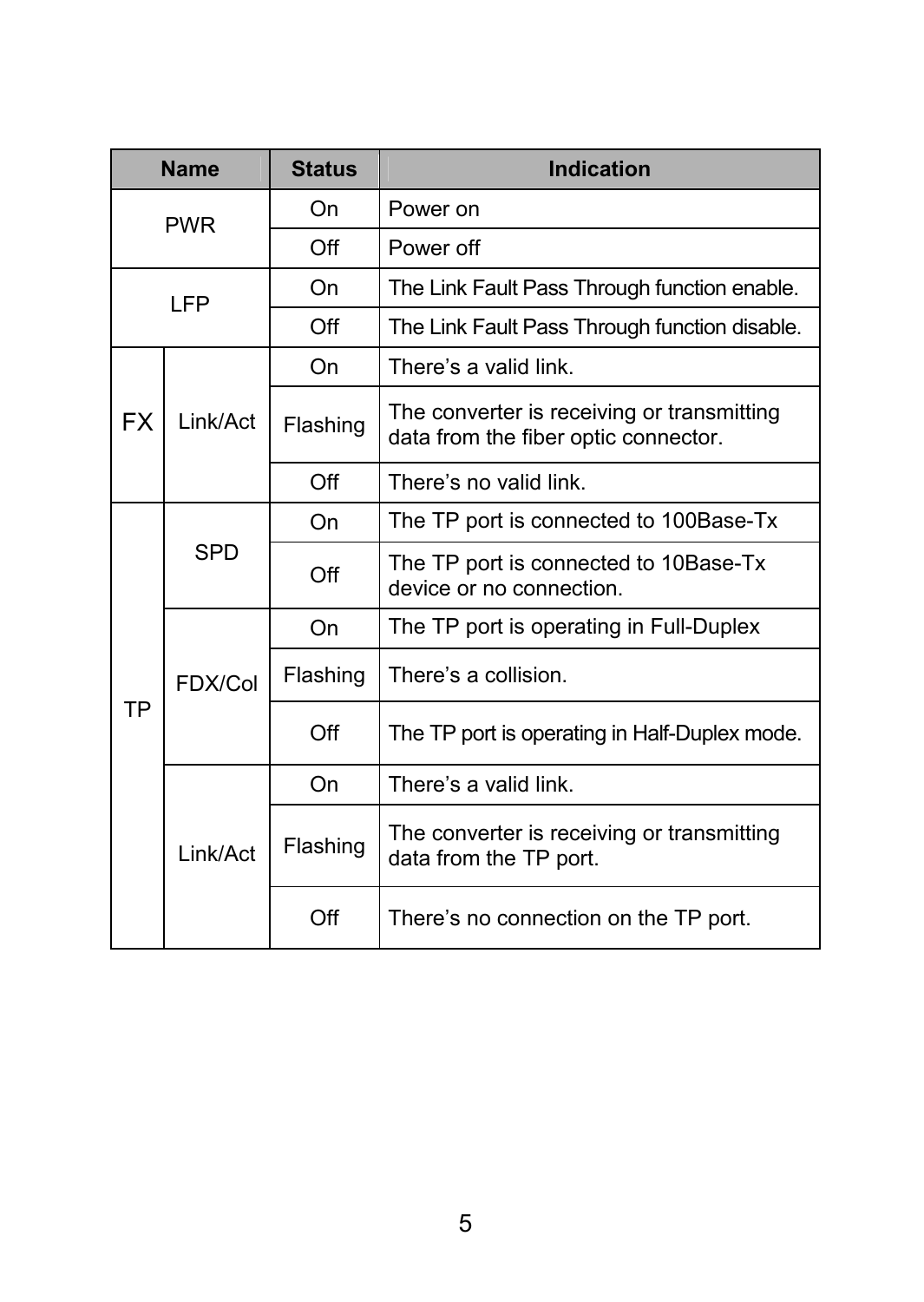| <b>Name</b>    |                | <b>Status</b>                                                                      | Indication                                                        |
|----------------|----------------|------------------------------------------------------------------------------------|-------------------------------------------------------------------|
| <b>PWR</b>     |                | On                                                                                 | Power on                                                          |
|                |                | $\bigcap_{i=1}^{n}$                                                                | Power off                                                         |
| LFP            |                | On                                                                                 | The Link Fault Pass Through function enable.                      |
|                |                | Off                                                                                | The Link Fault Pass Through function disable.                     |
|                |                | On                                                                                 | There's a valid link.                                             |
| FX<br>Link/Act | Flashing       | The converter is receiving or transmitting<br>data from the fiber optic connector. |                                                                   |
|                |                | $\bigcap$ ff                                                                       | There's no valid link.                                            |
|                |                | On                                                                                 | The TP port is connected to 100Base-Tx                            |
|                | SPD            | Off                                                                                | The TP port is connected to 10Base-Tx<br>device or no connection. |
|                |                | On                                                                                 | The TP port is operating in Full-Duplex                           |
|                | <b>FDX/Col</b> | Flashing                                                                           | There's a collision.                                              |
| <b>TP</b>      |                | Off                                                                                | The TP port is operating in Half-Duplex mode.                     |
|                |                | On                                                                                 | There's a valid link.                                             |
| Link/Act       | Flashing       | The converter is receiving or transmitting<br>data from the TP port.               |                                                                   |
|                | Off            | There's no connection on the TP port.                                              |                                                                   |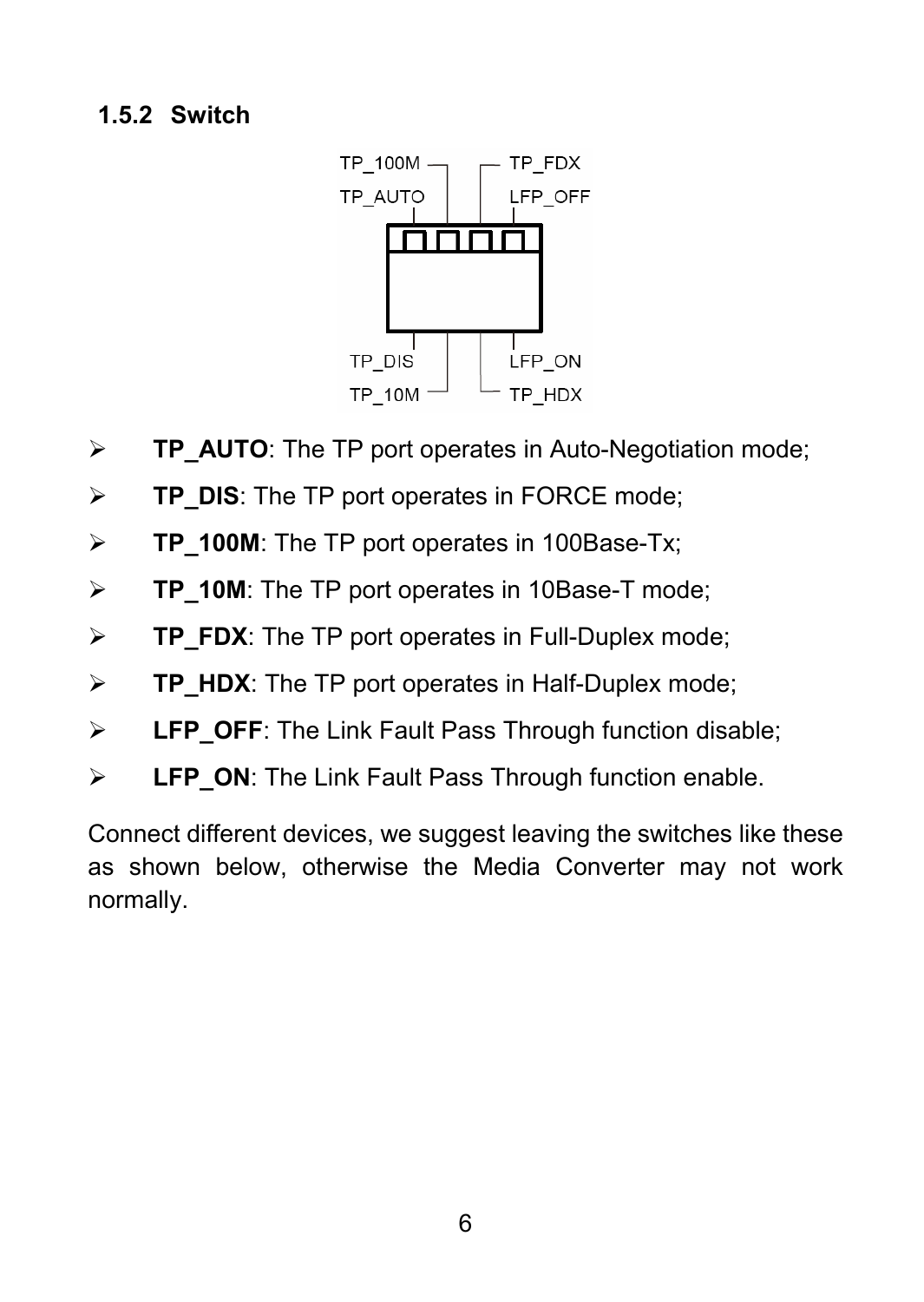#### <span id="page-10-0"></span>**1.5.2 Switch**



- **TP\_AUTO**: The TP port operates in Auto-Negotiation mode;
- **TP\_DIS**: The TP port operates in FORCE mode;
- **TP\_100M**: The TP port operates in 100Base-Tx;
- **TP\_10M**: The TP port operates in 10Base-T mode;
- **TP\_FDX**: The TP port operates in Full-Duplex mode;
- **TP\_HDX**: The TP port operates in Half-Duplex mode;
- **LFP\_OFF**: The Link Fault Pass Through function disable;
- **LFP\_ON**: The Link Fault Pass Through function enable.

Connect different devices, we suggest leaving the switches like these as shown below, otherwise the Media Converter may not work normally.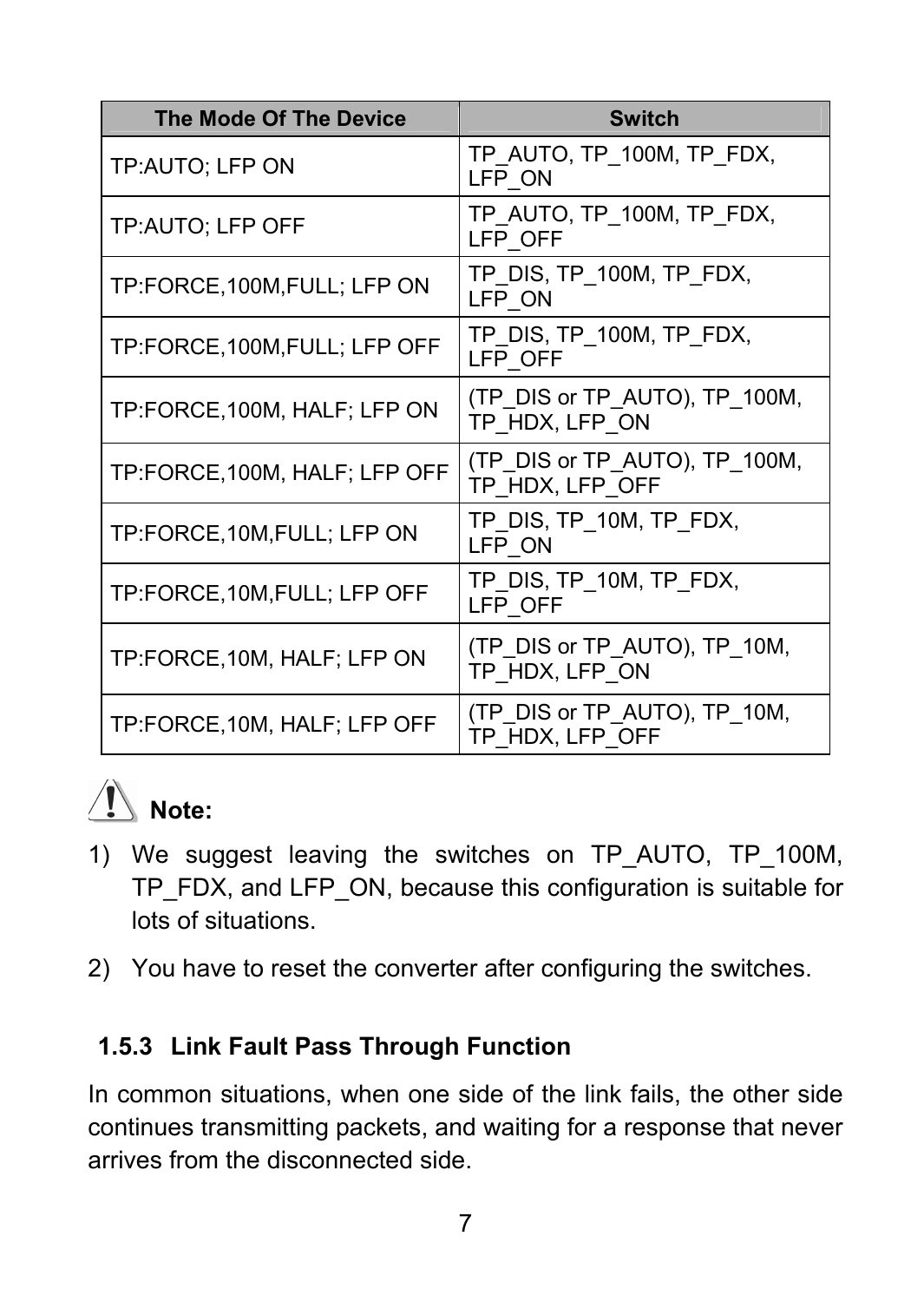<span id="page-11-0"></span>

| <b>The Mode Of The Device</b> | <b>Switch</b>                                    |
|-------------------------------|--------------------------------------------------|
| TP:AUTO; LFP ON               | TP AUTO, TP 100M, TP FDX,<br>LFP ON              |
| TP:AUTO; LFP OFF              | TP AUTO, TP 100M, TP FDX,<br>LFP OFF             |
| TP:FORCE,100M,FULL; LFP ON    | TP DIS, TP 100M, TP FDX,<br>LFP ON               |
| TP:FORCE,100M,FULL; LFP OFF   | TP DIS, TP 100M, TP FDX,<br>LFP OFF              |
| TP:FORCE, 100M, HALF; LFP ON  | (TP DIS or TP AUTO), TP 100M,<br>TP HDX, LFP ON  |
| TP:FORCE,100M, HALF; LFP OFF  | (TP DIS or TP AUTO), TP 100M,<br>TP HDX. LFP OFF |
| TP:FORCE,10M,FULL; LFP ON     | tp DIS, TP 10M, TP FDX,<br>LFP ON                |
| TP:FORCE,10M,FULL; LFP OFF    | TP DIS, TP 10M, TP FDX,<br>LFP OFF               |
| TP:FORCE, 10M, HALF; LFP ON   | (TP DIS or TP AUTO), TP 10M,<br>TP HDX, LFP ON   |
| TP:FORCE,10M, HALF; LFP OFF   | (TP DIS or TP AUTO), TP 10M,<br>TP HDX, LFP OFF  |



- 1) We suggest leaving the switches on TP\_AUTO, TP\_100M, TP\_FDX, and LFP\_ON, because this configuration is suitable for lots of situations.
- 2) You have to reset the converter after configuring the switches.

#### **1.5.3 Link Fault Pass Through Function**

In common situations, when one side of the link fails, the other side continues transmitting packets, and waiting for a response that never arrives from the disconnected side.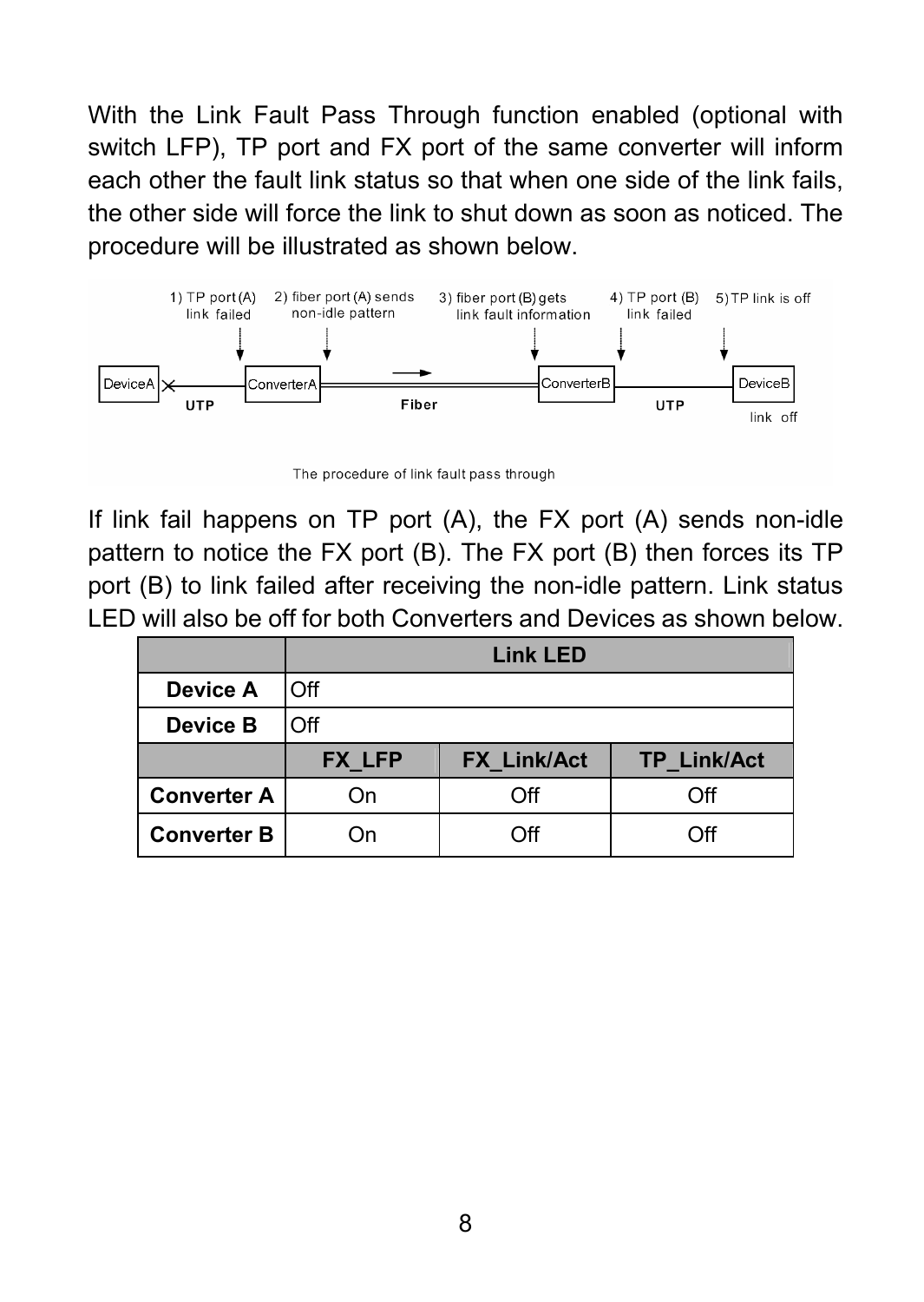With the Link Fault Pass Through function enabled (optional with switch LFP). TP port and FX port of the same converter will inform each other the fault link status so that when one side of the link fails, the other side will force the link to shut down as soon as noticed. The procedure will be illustrated as shown below.



The procedure of link fault pass through

If link fail happens on TP port (A), the FX port (A) sends non-idle pattern to notice the FX port (B). The FX port (B) then forces its TP port (B) to link failed after receiving the non-idle pattern. Link status LED will also be off for both Converters and Devices as shown below.

|                    | <b>Link LED</b> |                    |                    |
|--------------------|-----------------|--------------------|--------------------|
| Device A           | Off             |                    |                    |
| Device B           | Off             |                    |                    |
|                    |                 |                    |                    |
|                    | <b>FX LFP</b>   | <b>FX Link/Act</b> | <b>TP Link/Act</b> |
| <b>Converter A</b> | On              | Off                | ∩ff                |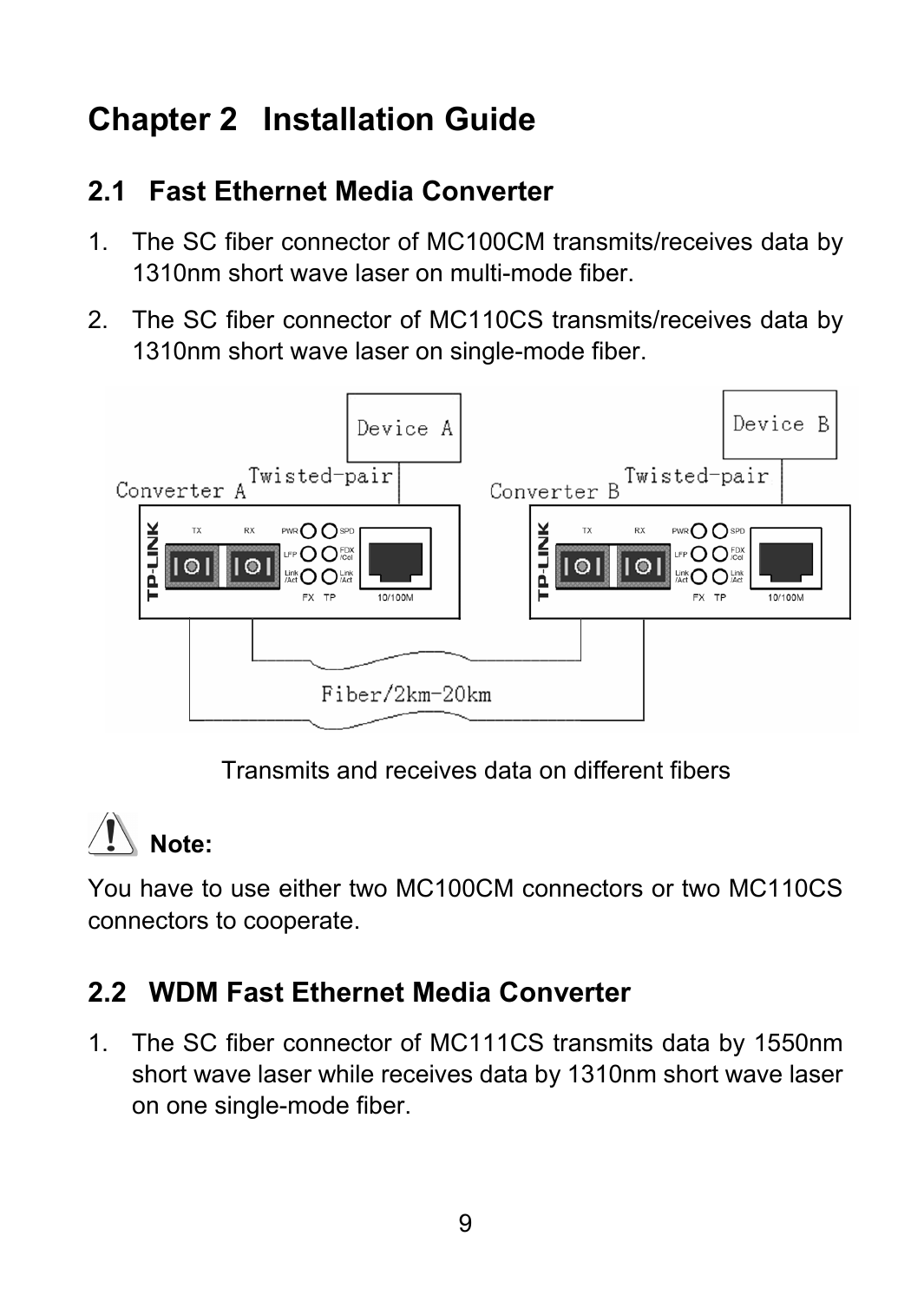# <span id="page-13-0"></span>**Chapter 2 Installation Guide**

#### **2.1 Fast Ethernet Media Converter**

- 1. The SC fiber connector of MC100CM transmits/receives data by 1310nm short wave laser on multi-mode fiber.
- 2. The SC fiber connector of MC110CS transmits/receives data by 1310nm short wave laser on single-mode fiber.



Transmits and receives data on different fibers

# **Note:**

You have to use either two MC100CM connectors or two MC110CS connectors to cooperate.

#### **2.2 WDM Fast Ethernet Media Converter**

1. The SC fiber connector of MC111CS transmits data by 1550nm short wave laser while receives data by 1310nm short wave laser on one single-mode fiber.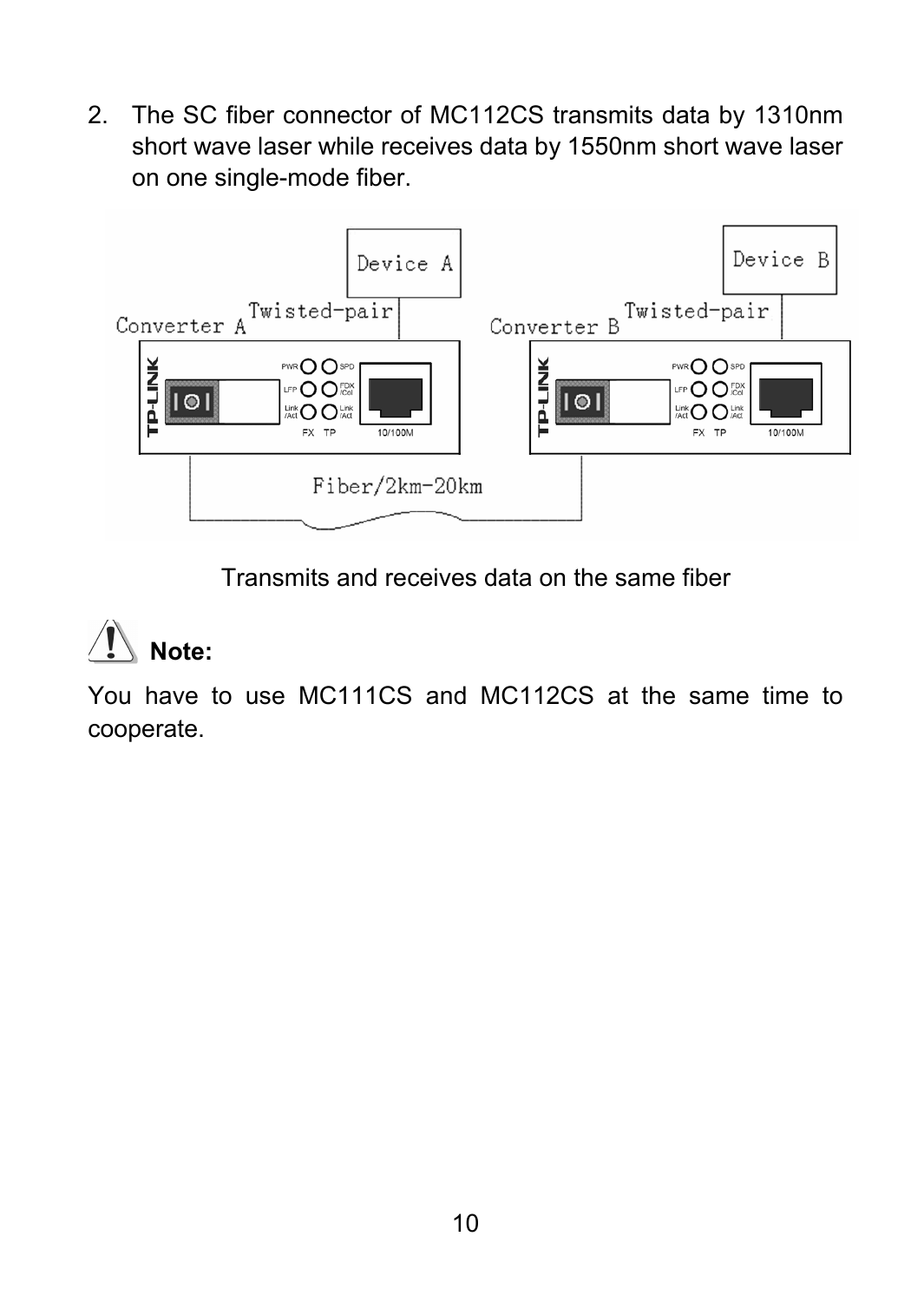2. The SC fiber connector of MC112CS transmits data by 1310nm short wave laser while receives data by 1550nm short wave laser on one single-mode fiber.



Transmits and receives data on the same fiber

# **Note:**

You have to use MC111CS and MC112CS at the same time to cooperate.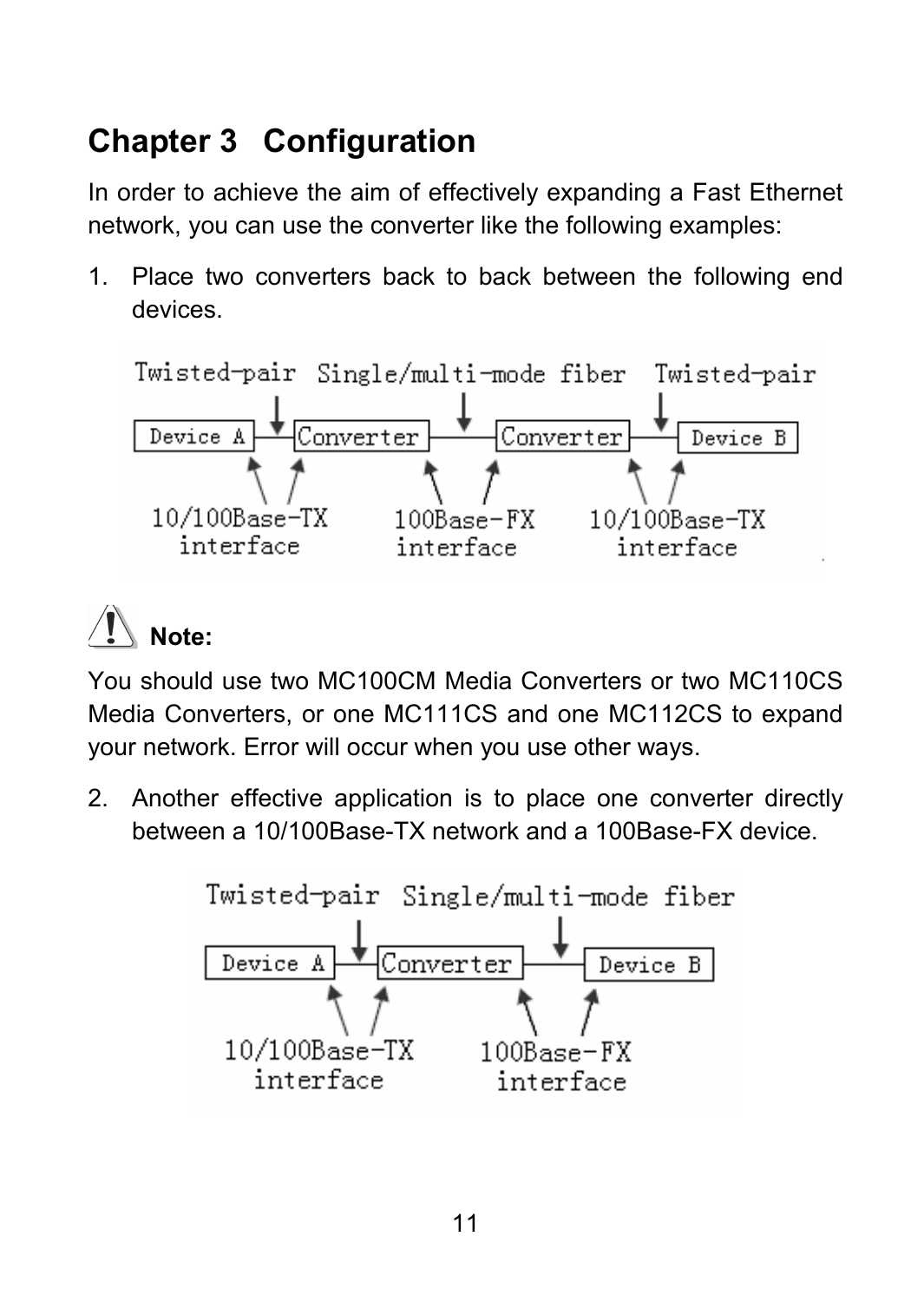## <span id="page-15-0"></span>**Chapter 3 Configuration**

In order to achieve the aim of effectively expanding a Fast Ethernet network, you can use the converter like the following examples:

1. Place two converters back to back between the following end devices.





You should use two MC100CM Media Converters or two MC110CS Media Converters, or one MC111CS and one MC112CS to expand your network. Error will occur when you use other ways.

2. Another effective application is to place one converter directly between a 10/100Base-TX network and a 100Base-FX device.

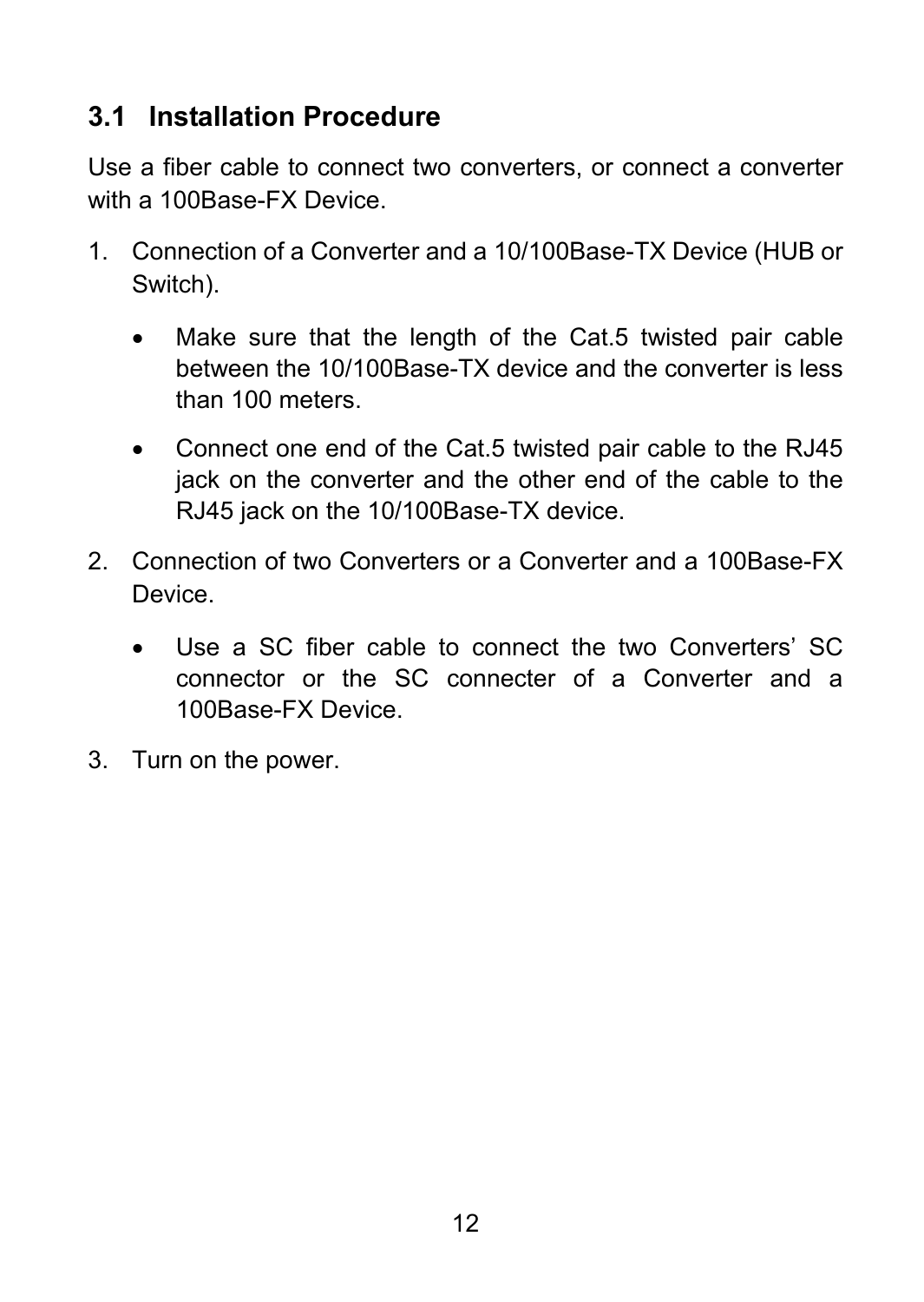#### <span id="page-16-0"></span>**3.1 Installation Procedure**

Use a fiber cable to connect two converters, or connect a converter with a 100Base-FX Device.

- 1. Connection of a Converter and a 10/100Base-TX Device (HUB or Switch).
	- Make sure that the length of the Cat.5 twisted pair cable between the 10/100Base-TX device and the converter is less than 100 meters.
	- Connect one end of the Cat.5 twisted pair cable to the RJ45 jack on the converter and the other end of the cable to the RJ45 jack on the 10/100Base-TX device.
- 2. Connection of two Converters or a Converter and a 100Base-FX Device.
	- Use a SC fiber cable to connect the two Converters' SC connector or the SC connecter of a Converter and a 100Base-FX Device.
- 3. Turn on the power.